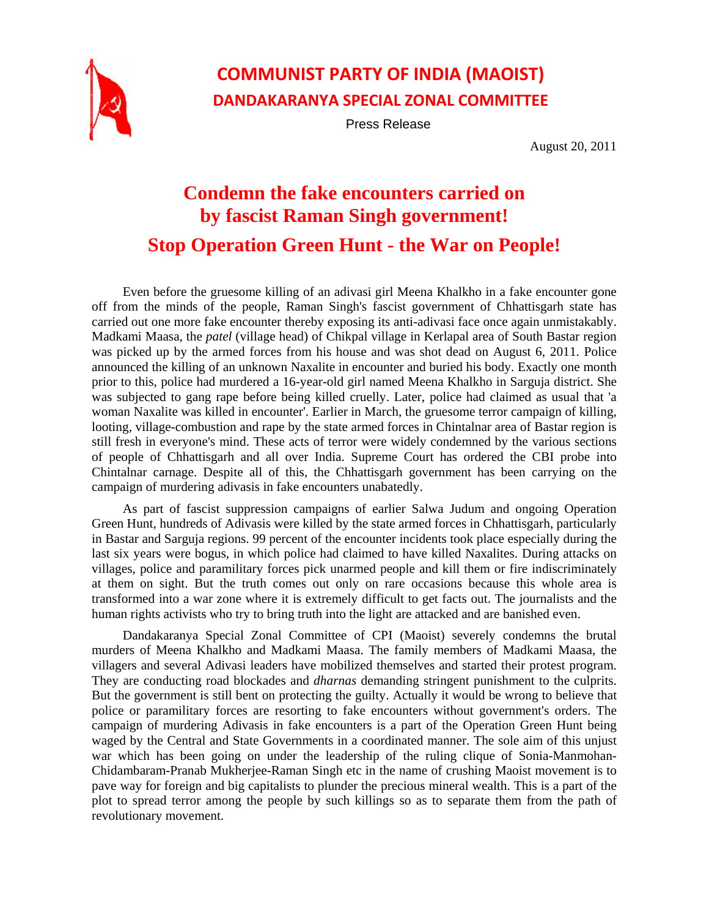

## **COMMUNIST PARTY OF INDIA (MAOIST) DANDAKARANYA SPECIAL ZONAL COMMITTEE**

Press Release

August 20, 2011

## **Condemn the fake encounters carried on by fascist Raman Singh government! Stop Operation Green Hunt - the War on People!**

Even before the gruesome killing of an adivasi girl Meena Khalkho in a fake encounter gone off from the minds of the people, Raman Singh's fascist government of Chhattisgarh state has carried out one more fake encounter thereby exposing its anti-adivasi face once again unmistakably. Madkami Maasa, the *patel* (village head) of Chikpal village in Kerlapal area of South Bastar region was picked up by the armed forces from his house and was shot dead on August 6, 2011. Police announced the killing of an unknown Naxalite in encounter and buried his body. Exactly one month prior to this, police had murdered a 16-year-old girl named Meena Khalkho in Sarguja district. She was subjected to gang rape before being killed cruelly. Later, police had claimed as usual that 'a woman Naxalite was killed in encounter'. Earlier in March, the gruesome terror campaign of killing, looting, village-combustion and rape by the state armed forces in Chintalnar area of Bastar region is still fresh in everyone's mind. These acts of terror were widely condemned by the various sections of people of Chhattisgarh and all over India. Supreme Court has ordered the CBI probe into Chintalnar carnage. Despite all of this, the Chhattisgarh government has been carrying on the campaign of murdering adivasis in fake encounters unabatedly.

As part of fascist suppression campaigns of earlier Salwa Judum and ongoing Operation Green Hunt, hundreds of Adivasis were killed by the state armed forces in Chhattisgarh, particularly in Bastar and Sarguja regions. 99 percent of the encounter incidents took place especially during the last six years were bogus, in which police had claimed to have killed Naxalites. During attacks on villages, police and paramilitary forces pick unarmed people and kill them or fire indiscriminately at them on sight. But the truth comes out only on rare occasions because this whole area is transformed into a war zone where it is extremely difficult to get facts out. The journalists and the human rights activists who try to bring truth into the light are attacked and are banished even.

Dandakaranya Special Zonal Committee of CPI (Maoist) severely condemns the brutal murders of Meena Khalkho and Madkami Maasa. The family members of Madkami Maasa, the villagers and several Adivasi leaders have mobilized themselves and started their protest program. They are conducting road blockades and *dharnas* demanding stringent punishment to the culprits. But the government is still bent on protecting the guilty. Actually it would be wrong to believe that police or paramilitary forces are resorting to fake encounters without government's orders. The campaign of murdering Adivasis in fake encounters is a part of the Operation Green Hunt being waged by the Central and State Governments in a coordinated manner. The sole aim of this unjust war which has been going on under the leadership of the ruling clique of Sonia-Manmohan-Chidambaram-Pranab Mukherjee-Raman Singh etc in the name of crushing Maoist movement is to pave way for foreign and big capitalists to plunder the precious mineral wealth. This is a part of the plot to spread terror among the people by such killings so as to separate them from the path of revolutionary movement.